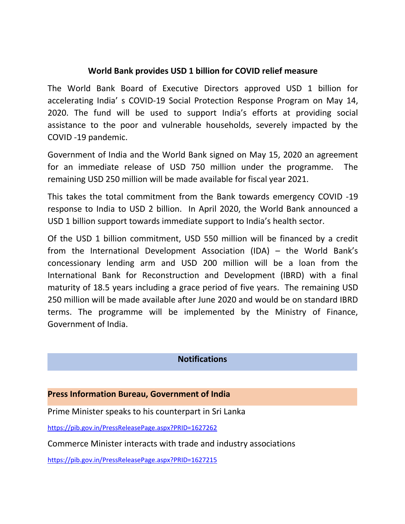### **World Bank provides USD 1 billion for COVID relief measure**

The World Bank Board of Executive Directors approved USD 1 billion for accelerating India' s COVID-19 Social Protection Response Program on May 14, 2020. The fund will be used to support India's efforts at providing social assistance to the poor and vulnerable households, severely impacted by the COVID -19 pandemic.

Government of India and the World Bank signed on May 15, 2020 an agreement for an immediate release of USD 750 million under the programme. The remaining USD 250 million will be made available for fiscal year 2021.

This takes the total commitment from the Bank towards emergency COVID -19 response to India to USD 2 billion. In April 2020, the World Bank announced a USD 1 billion support towards immediate support to India's health sector.

Of the USD 1 billion commitment, USD 550 million will be financed by a credit from the International Development Association (IDA) – the World Bank's concessionary lending arm and USD 200 million will be a loan from the International Bank for Reconstruction and Development (IBRD) with a final maturity of 18.5 years including a grace period of five years. The remaining USD 250 million will be made available after June 2020 and would be on standard IBRD terms. The programme will be implemented by the Ministry of Finance, Government of India.

### **Notifications**

#### **Press Information Bureau, Government of India**

Prime Minister speaks to his counterpart in Sri Lanka

<https://pib.gov.in/PressReleasePage.aspx?PRID=1627262>

Commerce Minister interacts with trade and industry associations

<https://pib.gov.in/PressReleasePage.aspx?PRID=1627215>